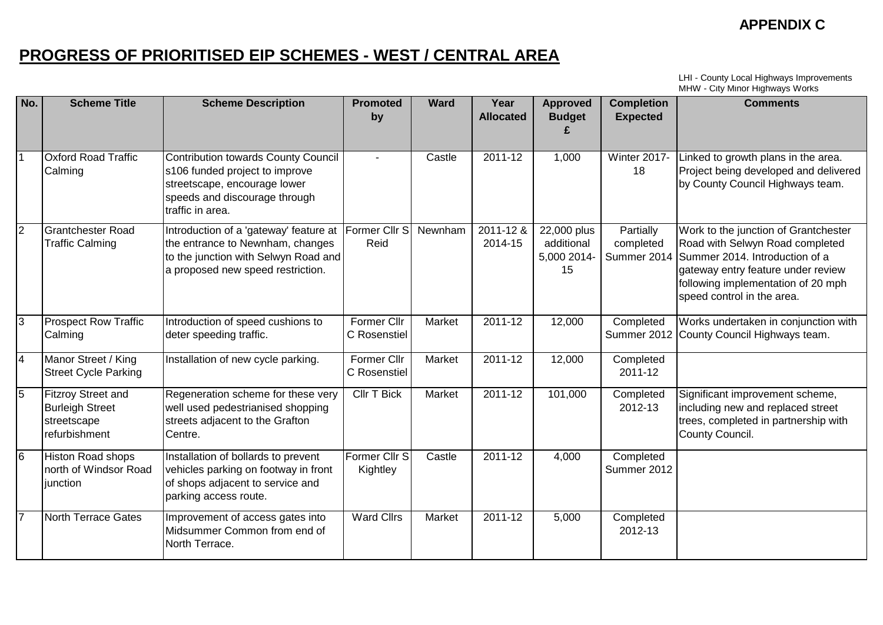# **PROGRESS OF PRIORITISED EIP SCHEMES - WEST / CENTRAL AREA**

LHI - County Local Highways Improvements MHW - City Minor Highways Works

| No.            | <b>Scheme Title</b>                                                                 | <b>Scheme Description</b>                                                                                                                                  | <b>Promoted</b><br>by              | <b>Ward</b> | Year<br><b>Allocated</b> | <b>Approved</b><br><b>Budget</b>               | <b>Completion</b><br><b>Expected</b>  | <b>Comments</b>                                                                                                                                                                                                     |
|----------------|-------------------------------------------------------------------------------------|------------------------------------------------------------------------------------------------------------------------------------------------------------|------------------------------------|-------------|--------------------------|------------------------------------------------|---------------------------------------|---------------------------------------------------------------------------------------------------------------------------------------------------------------------------------------------------------------------|
| <b>11</b>      | <b>Oxford Road Traffic</b><br>Calming                                               | Contribution towards County Council<br>s106 funded project to improve<br>streetscape, encourage lower<br>speeds and discourage through<br>traffic in area. |                                    | Castle      | 2011-12                  | 1,000                                          | <b>Winter 2017-</b><br>18             | Linked to growth plans in the area.<br>Project being developed and delivered<br>by County Council Highways team.                                                                                                    |
| $\overline{2}$ | <b>Grantchester Road</b><br><b>Traffic Calming</b>                                  | Introduction of a 'gateway' feature at<br>the entrance to Newnham, changes<br>to the junction with Selwyn Road and<br>a proposed new speed restriction.    | Former Cllr S<br>Reid              | Newnham     | $2011 - 128$<br>2014-15  | 22,000 plus<br>additional<br>5,000 2014-<br>15 | Partially<br>completed<br>Summer 2014 | Work to the junction of Grantchester<br>Road with Selwyn Road completed<br>Summer 2014. Introduction of a<br>gateway entry feature under review<br>following implementation of 20 mph<br>speed control in the area. |
| $\overline{3}$ | <b>Prospect Row Traffic</b><br>Calming                                              | Introduction of speed cushions to<br>deter speeding traffic.                                                                                               | <b>Former Cllr</b><br>C Rosenstiel | Market      | $2011 - 12$              | 12,000                                         | Completed                             | Works undertaken in conjunction with<br>Summer 2012 County Council Highways team.                                                                                                                                   |
| $\overline{4}$ | Manor Street / King<br><b>Street Cycle Parking</b>                                  | Installation of new cycle parking.                                                                                                                         | Former Cllr<br>C Rosenstiel        | Market      | 2011-12                  | 12,000                                         | Completed<br>2011-12                  |                                                                                                                                                                                                                     |
| 5              | <b>Fitzroy Street and</b><br><b>Burleigh Street</b><br>streetscape<br>refurbishment | Regeneration scheme for these very<br>well used pedestrianised shopping<br>streets adjacent to the Grafton<br>Centre.                                      | <b>Cllr T Bick</b>                 | Market      | 2011-12                  | 101,000                                        | Completed<br>2012-13                  | Significant improvement scheme,<br>including new and replaced street<br>trees, completed in partnership with<br>County Council.                                                                                     |
| l6             | <b>Histon Road shops</b><br>north of Windsor Road<br>junction                       | Installation of bollards to prevent<br>vehicles parking on footway in front<br>of shops adjacent to service and<br>parking access route.                   | Former Cllr S<br>Kightley          | Castle      | 2011-12                  | 4,000                                          | Completed<br>Summer 2012              |                                                                                                                                                                                                                     |
| 7              | <b>North Terrace Gates</b>                                                          | Improvement of access gates into<br>Midsummer Common from end of<br>North Terrace.                                                                         | <b>Ward Cllrs</b>                  | Market      | 2011-12                  | 5,000                                          | Completed<br>2012-13                  |                                                                                                                                                                                                                     |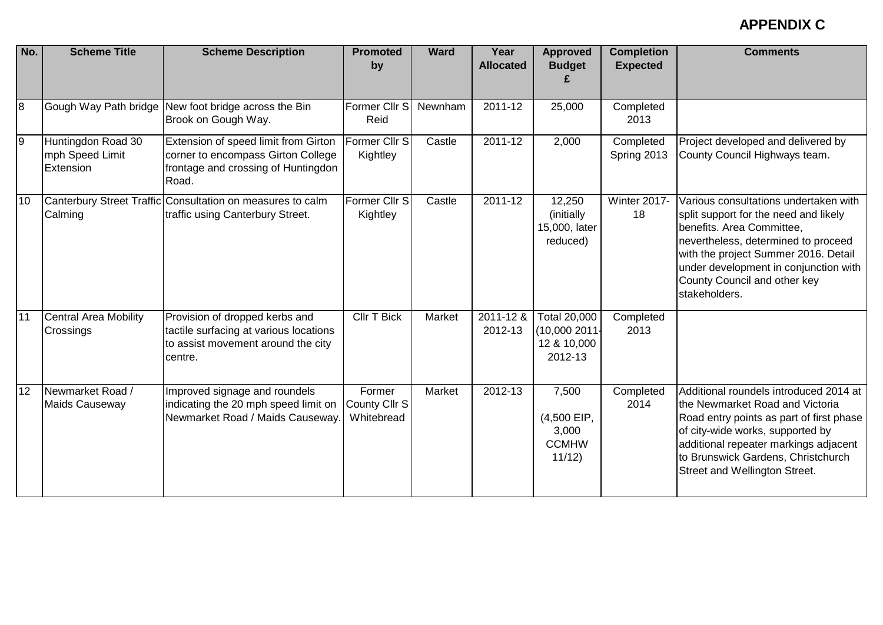| No.            | <b>Scheme Title</b>                                | <b>Scheme Description</b>                                                                                                  | <b>Promoted</b><br>by                 | <b>Ward</b> | Year<br><b>Allocated</b> | <b>Approved</b><br><b>Budget</b>                              | <b>Completion</b><br><b>Expected</b> | <b>Comments</b>                                                                                                                                                                                                                                                                      |
|----------------|----------------------------------------------------|----------------------------------------------------------------------------------------------------------------------------|---------------------------------------|-------------|--------------------------|---------------------------------------------------------------|--------------------------------------|--------------------------------------------------------------------------------------------------------------------------------------------------------------------------------------------------------------------------------------------------------------------------------------|
| $\overline{8}$ |                                                    | Gough Way Path bridge New foot bridge across the Bin<br>Brook on Gough Way.                                                | Former Cllr S<br>Reid                 | Newnham     | 2011-12                  | 25,000                                                        | Completed<br>2013                    |                                                                                                                                                                                                                                                                                      |
| 9              | Huntingdon Road 30<br>mph Speed Limit<br>Extension | Extension of speed limit from Girton<br>corner to encompass Girton College<br>frontage and crossing of Huntingdon<br>Road. | Former Cllr S<br>Kightley             | Castle      | 2011-12                  | 2,000                                                         | Completed<br>Spring 2013             | Project developed and delivered by<br>County Council Highways team.                                                                                                                                                                                                                  |
| 10             | Calming                                            | Canterbury Street Traffic Consultation on measures to calm<br>traffic using Canterbury Street.                             | Former Cllr S<br>Kightley             | Castle      | 2011-12                  | 12,250<br>(initially)<br>15,000, later<br>reduced)            | <b>Winter 2017-</b><br>18            | Various consultations undertaken with<br>split support for the need and likely<br>benefits. Area Committee,<br>nevertheless, determined to proceed<br>with the project Summer 2016. Detail<br>under development in conjunction with<br>County Council and other key<br>stakeholders. |
| 11             | <b>Central Area Mobility</b><br>Crossings          | Provision of dropped kerbs and<br>tactile surfacing at various locations<br>to assist movement around the city<br>centre.  | Cllr T Bick                           | Market      | 2011-12 &<br>2012-13     | <b>Total 20,000</b><br>(10,0002011)<br>12 & 10,000<br>2012-13 | Completed<br>2013                    |                                                                                                                                                                                                                                                                                      |
| 12             | Newmarket Road /<br><b>Maids Causeway</b>          | Improved signage and roundels<br>indicating the 20 mph speed limit on<br>Newmarket Road / Maids Causeway.                  | Former<br>County Cllr S<br>Whitebread | Market      | $2012 - 13$              | 7,500<br>(4,500 EIP,<br>3,000<br><b>CCMHW</b><br>11/12        | Completed<br>2014                    | Additional roundels introduced 2014 at<br>the Newmarket Road and Victoria<br>Road entry points as part of first phase<br>of city-wide works, supported by<br>additional repeater markings adjacent<br>to Brunswick Gardens, Christchurch<br>Street and Wellington Street.            |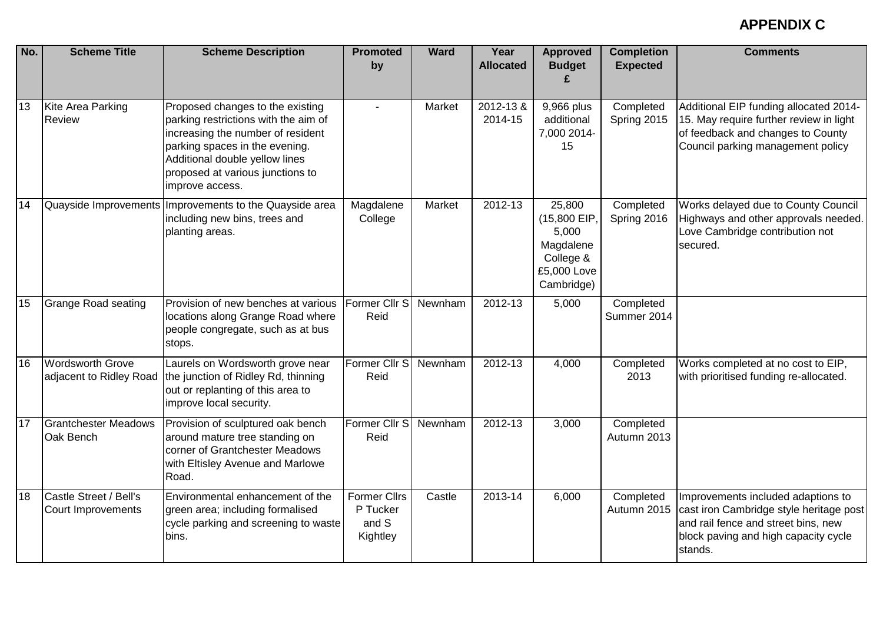| No. | <b>Scheme Title</b>                                | <b>Scheme Description</b>                                                                                                                                                                                                                | <b>Promoted</b><br>by                                | <b>Ward</b> | Year<br><b>Allocated</b> | <b>Approved</b><br><b>Budget</b>                                                       | <b>Completion</b><br><b>Expected</b> | <b>Comments</b>                                                                                                                                                         |
|-----|----------------------------------------------------|------------------------------------------------------------------------------------------------------------------------------------------------------------------------------------------------------------------------------------------|------------------------------------------------------|-------------|--------------------------|----------------------------------------------------------------------------------------|--------------------------------------|-------------------------------------------------------------------------------------------------------------------------------------------------------------------------|
| 13  | Kite Area Parking<br><b>Review</b>                 | Proposed changes to the existing<br>parking restrictions with the aim of<br>increasing the number of resident<br>parking spaces in the evening.<br>Additional double yellow lines<br>proposed at various junctions to<br>improve access. |                                                      | Market      | 2012-13 &<br>2014-15     | 9,966 plus<br>additional<br>7,000 2014-<br>15                                          | Completed<br>Spring 2015             | Additional EIP funding allocated 2014-<br>15. May require further review in light<br>of feedback and changes to County<br>Council parking management policy             |
| 14  |                                                    | Quayside Improvements Improvements to the Quayside area<br>including new bins, trees and<br>planting areas.                                                                                                                              | Magdalene<br>College                                 | Market      | 2012-13                  | 25,800<br>(15,800 EIP)<br>5,000<br>Magdalene<br>College &<br>£5,000 Love<br>Cambridge) | Completed<br>Spring 2016             | Works delayed due to County Council<br>Highways and other approvals needed.<br>Love Cambridge contribution not<br>secured.                                              |
| 15  | <b>Grange Road seating</b>                         | Provision of new benches at various<br>locations along Grange Road where<br>people congregate, such as at bus<br>stops.                                                                                                                  | Former Cllr S<br>Reid                                | Newnham     | 2012-13                  | 5,000                                                                                  | Completed<br>Summer 2014             |                                                                                                                                                                         |
| 16  | <b>Wordsworth Grove</b><br>adjacent to Ridley Road | Laurels on Wordsworth grove near<br>the junction of Ridley Rd, thinning<br>out or replanting of this area to<br>improve local security.                                                                                                  | Former Cllr S<br>Reid                                | Newnham     | $2012 - 13$              | 4,000                                                                                  | Completed<br>2013                    | Works completed at no cost to EIP,<br>with prioritised funding re-allocated.                                                                                            |
| 17  | <b>Grantchester Meadows</b><br>Oak Bench           | Provision of sculptured oak bench<br>around mature tree standing on<br>corner of Grantchester Meadows<br>with Eltisley Avenue and Marlowe<br>Road.                                                                                       | Former Cllr S<br>Reid                                | Newnham     | $2012 - 13$              | 3,000                                                                                  | Completed<br>Autumn 2013             |                                                                                                                                                                         |
| 18  | Castle Street / Bell's<br>Court Improvements       | Environmental enhancement of the<br>green area; including formalised<br>cycle parking and screening to waste<br>bins.                                                                                                                    | <b>Former Cllrs</b><br>P Tucker<br>and S<br>Kightley | Castle      | 2013-14                  | 6,000                                                                                  | Completed<br>Autumn 2015             | Improvements included adaptions to<br>cast iron Cambridge style heritage post<br>and rail fence and street bins, new<br>block paving and high capacity cycle<br>stands. |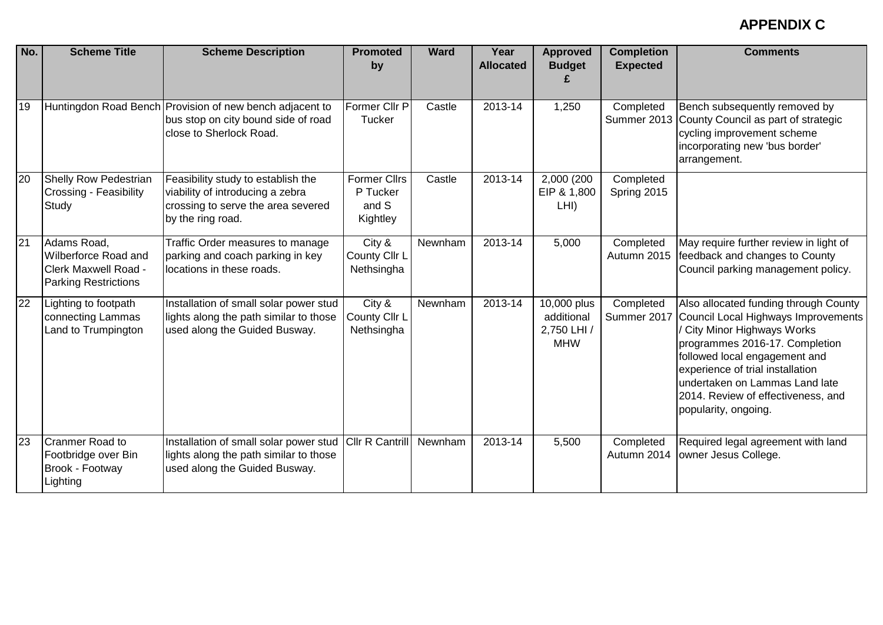| No.             | <b>Scheme Title</b>                                                                        | <b>Scheme Description</b>                                                                                                         | <b>Promoted</b><br>by                                | <b>Ward</b> | Year<br><b>Allocated</b> | <b>Approved</b><br><b>Budget</b>                       | <b>Completion</b><br><b>Expected</b> | <b>Comments</b>                                                                                                                                                                                                                                                                                                  |
|-----------------|--------------------------------------------------------------------------------------------|-----------------------------------------------------------------------------------------------------------------------------------|------------------------------------------------------|-------------|--------------------------|--------------------------------------------------------|--------------------------------------|------------------------------------------------------------------------------------------------------------------------------------------------------------------------------------------------------------------------------------------------------------------------------------------------------------------|
| 19              |                                                                                            | Huntingdon Road Bench Provision of new bench adjacent to<br>bus stop on city bound side of road<br>close to Sherlock Road.        | Former Cllr P<br>Tucker                              | Castle      | 2013-14                  | 1,250                                                  | Completed                            | Bench subsequently removed by<br>Summer 2013 County Council as part of strategic<br>cycling improvement scheme<br>incorporating new 'bus border'<br>arrangement.                                                                                                                                                 |
| 20              | <b>Shelly Row Pedestrian</b><br><b>Crossing - Feasibility</b><br>Study                     | Feasibility study to establish the<br>viability of introducing a zebra<br>crossing to serve the area severed<br>by the ring road. | <b>Former Cllrs</b><br>P Tucker<br>and S<br>Kightley | Castle      | 2013-14                  | 2,000 (200<br>EIP & 1,800<br>LHI)                      | Completed<br>Spring 2015             |                                                                                                                                                                                                                                                                                                                  |
| $\overline{21}$ | Adams Road,<br>Wilberforce Road and<br>Clerk Maxwell Road -<br><b>Parking Restrictions</b> | Traffic Order measures to manage<br>parking and coach parking in key<br>locations in these roads.                                 | City &<br>County Cllr L<br>Nethsingha                | Newnham     | 2013-14                  | 5,000                                                  | Completed<br>Autumn 2015             | May require further review in light of<br>feedback and changes to County<br>Council parking management policy.                                                                                                                                                                                                   |
| 22              | Lighting to footpath<br>connecting Lammas<br>Land to Trumpington                           | Installation of small solar power stud<br>lights along the path similar to those<br>used along the Guided Busway.                 | City &<br>County Cllr L<br>Nethsingha                | Newnham     | 2013-14                  | 10,000 plus<br>additional<br>2,750 LHI /<br><b>MHW</b> | Completed<br>Summer 2017             | Also allocated funding through County<br>Council Local Highways Improvements<br>City Minor Highways Works<br>programmes 2016-17. Completion<br>followed local engagement and<br>experience of trial installation<br>undertaken on Lammas Land late<br>2014. Review of effectiveness, and<br>popularity, ongoing. |
| 23              | <b>Cranmer Road to</b><br>Footbridge over Bin<br>Brook - Footway<br>∟ighting               | Installation of small solar power stud<br>lights along the path similar to those<br>used along the Guided Busway.                 | Cllr R Cantrill                                      | Newnham     | 2013-14                  | 5,500                                                  | Completed<br>Autumn 2014             | Required legal agreement with land<br>owner Jesus College.                                                                                                                                                                                                                                                       |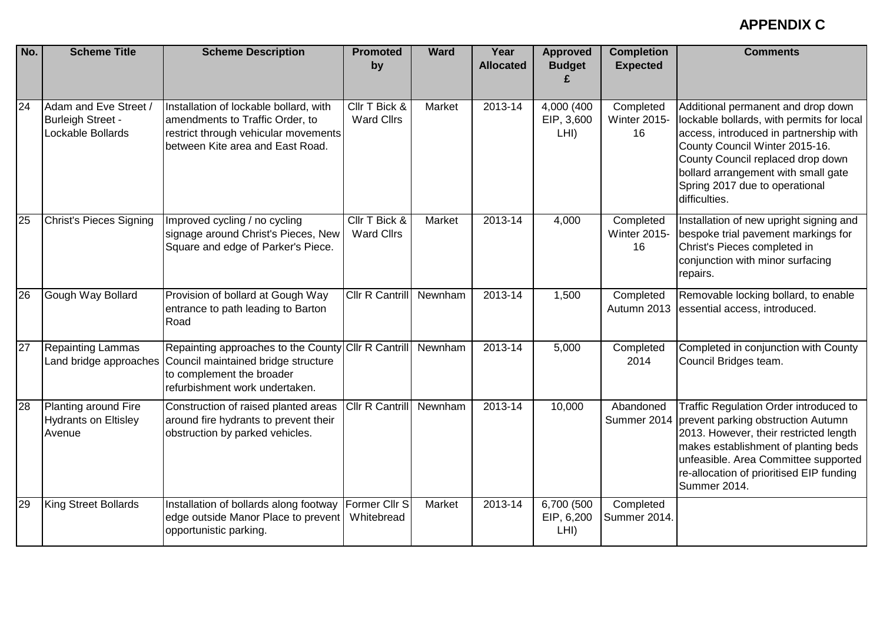| No. | <b>Scheme Title</b>                                                    | <b>Scheme Description</b>                                                                                                                                                        | <b>Promoted</b><br>by              | <b>Ward</b> | Year<br><b>Allocated</b> | <b>Approved</b><br><b>Budget</b> | <b>Completion</b><br><b>Expected</b>   | <b>Comments</b>                                                                                                                                                                                                                                                                            |
|-----|------------------------------------------------------------------------|----------------------------------------------------------------------------------------------------------------------------------------------------------------------------------|------------------------------------|-------------|--------------------------|----------------------------------|----------------------------------------|--------------------------------------------------------------------------------------------------------------------------------------------------------------------------------------------------------------------------------------------------------------------------------------------|
| 24  | Adam and Eve Street /<br><b>Burleigh Street -</b><br>Lockable Bollards | Installation of lockable bollard, with<br>amendments to Traffic Order, to<br>restrict through vehicular movements<br>between Kite area and East Road.                            | Cllr T Bick &<br><b>Ward Cllrs</b> | Market      | 2013-14                  | 4,000 (400<br>EIP, 3,600<br>LHI) | Completed<br><b>Winter 2015-</b><br>16 | Additional permanent and drop down<br>lockable bollards, with permits for local<br>access, introduced in partnership with<br>County Council Winter 2015-16.<br>County Council replaced drop down<br>bollard arrangement with small gate<br>Spring 2017 due to operational<br>difficulties. |
| 25  | Christ's Pieces Signing                                                | Improved cycling / no cycling<br>signage around Christ's Pieces, New<br>Square and edge of Parker's Piece.                                                                       | Cllr T Bick &<br><b>Ward Cllrs</b> | Market      | 2013-14                  | 4,000                            | Completed<br><b>Winter 2015-</b><br>16 | Installation of new upright signing and<br>bespoke trial pavement markings for<br>Christ's Pieces completed in<br>conjunction with minor surfacing<br>repairs.                                                                                                                             |
| 26  | Gough Way Bollard                                                      | Provision of bollard at Gough Way<br>entrance to path leading to Barton<br>Road                                                                                                  | Cllr R Cantrill                    | Newnham     | 2013-14                  | 1,500                            | Completed<br>Autumn 2013               | Removable locking bollard, to enable<br>essential access, introduced.                                                                                                                                                                                                                      |
| 27  | <b>Repainting Lammas</b>                                               | Repainting approaches to the County Cllr R Cantrill<br>Land bridge approaches Council maintained bridge structure<br>to complement the broader<br>refurbishment work undertaken. |                                    | Newnham     | $2013 - 14$              | 5,000                            | Completed<br>2014                      | Completed in conjunction with County<br>Council Bridges team.                                                                                                                                                                                                                              |
| 28  | Planting around Fire<br><b>Hydrants on Eltisley</b><br>Avenue          | Construction of raised planted areas<br>around fire hydrants to prevent their<br>obstruction by parked vehicles.                                                                 | Cllr R Cantrill                    | Newnham     | 2013-14                  | 10,000                           | Abandoned<br>Summer 2014               | Traffic Regulation Order introduced to<br>prevent parking obstruction Autumn<br>2013. However, their restricted length<br>makes establishment of planting beds<br>unfeasible. Area Committee supported<br>re-allocation of prioritised EIP funding<br>Summer 2014.                         |
| 29  | King Street Bollards                                                   | Installation of bollards along footway<br>edge outside Manor Place to prevent<br>opportunistic parking.                                                                          | Former Cllr S<br>Whitebread        | Market      | 2013-14                  | 6,700 (500<br>EIP, 6,200<br>LHI) | Completed<br>Summer 2014.              |                                                                                                                                                                                                                                                                                            |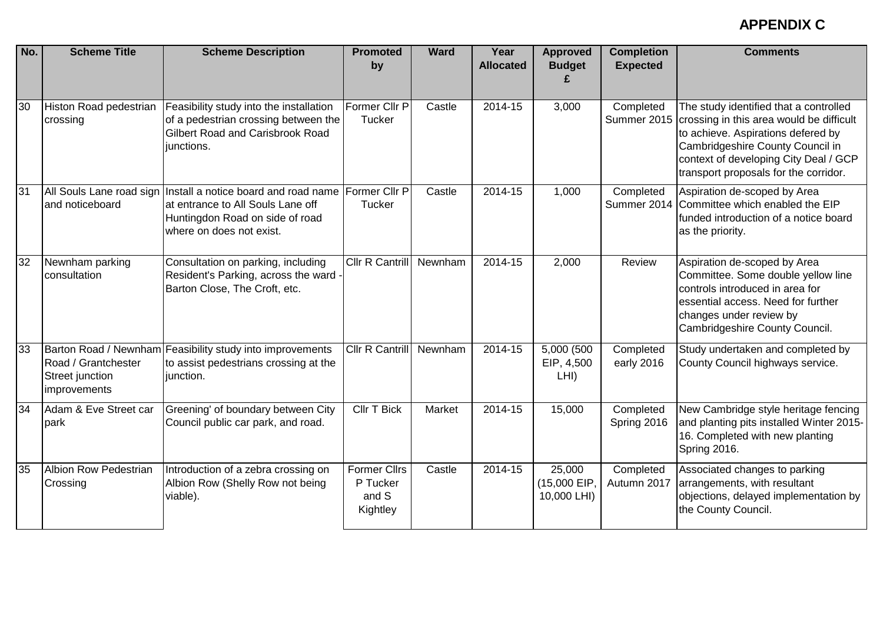| No. | <b>Scheme Title</b>                                    | <b>Scheme Description</b>                                                                                                                                                       | <b>Promoted</b><br>by                                | <b>Ward</b> | Year<br><b>Allocated</b> | <b>Approved</b><br><b>Budget</b>     | <b>Completion</b><br><b>Expected</b> | <b>Comments</b>                                                                                                                                                                                                                                |
|-----|--------------------------------------------------------|---------------------------------------------------------------------------------------------------------------------------------------------------------------------------------|------------------------------------------------------|-------------|--------------------------|--------------------------------------|--------------------------------------|------------------------------------------------------------------------------------------------------------------------------------------------------------------------------------------------------------------------------------------------|
| 30  | Histon Road pedestrian<br>crossing                     | Feasibility study into the installation<br>of a pedestrian crossing between the<br><b>Gilbert Road and Carisbrook Road</b><br>junctions.                                        | Former Cllr P<br><b>Tucker</b>                       | Castle      | 2014-15                  | 3,000                                | Completed<br>Summer 2015             | The study identified that a controlled<br>crossing in this area would be difficult<br>to achieve. Aspirations defered by<br>Cambridgeshire County Council in<br>context of developing City Deal / GCP<br>transport proposals for the corridor. |
| 31  | and noticeboard                                        | All Souls Lane road sign Install a notice board and road name Former Cllr P<br>at entrance to All Souls Lane off<br>Huntingdon Road on side of road<br>where on does not exist. | <b>Tucker</b>                                        | Castle      | 2014-15                  | 1,000                                | Completed<br>Summer 2014             | Aspiration de-scoped by Area<br>Committee which enabled the EIP<br>funded introduction of a notice board<br>as the priority.                                                                                                                   |
| 32  | Newnham parking<br>consultation                        | Consultation on parking, including<br>Resident's Parking, across the ward -<br>Barton Close, The Croft, etc.                                                                    | Cllr R Cantrill                                      | Newnham     | 2014-15                  | 2,000                                | Review                               | Aspiration de-scoped by Area<br>Committee. Some double yellow line<br>controls introduced in area for<br>essential access. Need for further<br>changes under review by<br>Cambridgeshire County Council.                                       |
| 33  | Road / Grantchester<br>Street junction<br>improvements | Barton Road / Newnham Feasibility study into improvements<br>to assist pedestrians crossing at the<br>junction.                                                                 | Cllr R Cantrill                                      | Newnham     | 2014-15                  | 5,000 (500<br>EIP, 4,500<br>LHI)     | Completed<br>early 2016              | Study undertaken and completed by<br>County Council highways service.                                                                                                                                                                          |
| 34  | Adam & Eve Street car<br>park                          | Greening' of boundary between City<br>Council public car park, and road.                                                                                                        | <b>CIIr T Bick</b>                                   | Market      | 2014-15                  | 15,000                               | Completed<br>Spring 2016             | New Cambridge style heritage fencing<br>and planting pits installed Winter 2015-<br>16. Completed with new planting<br>Spring 2016.                                                                                                            |
| 35  | <b>Albion Row Pedestrian</b><br>Crossing               | Introduction of a zebra crossing on<br>Albion Row (Shelly Row not being<br>viable).                                                                                             | <b>Former Cllrs</b><br>P Tucker<br>and S<br>Kightley | Castle      | 2014-15                  | 25,000<br>(15,000 EIP<br>10,000 LHI) | Completed<br>Autumn 2017             | Associated changes to parking<br>arrangements, with resultant<br>objections, delayed implementation by<br>the County Council.                                                                                                                  |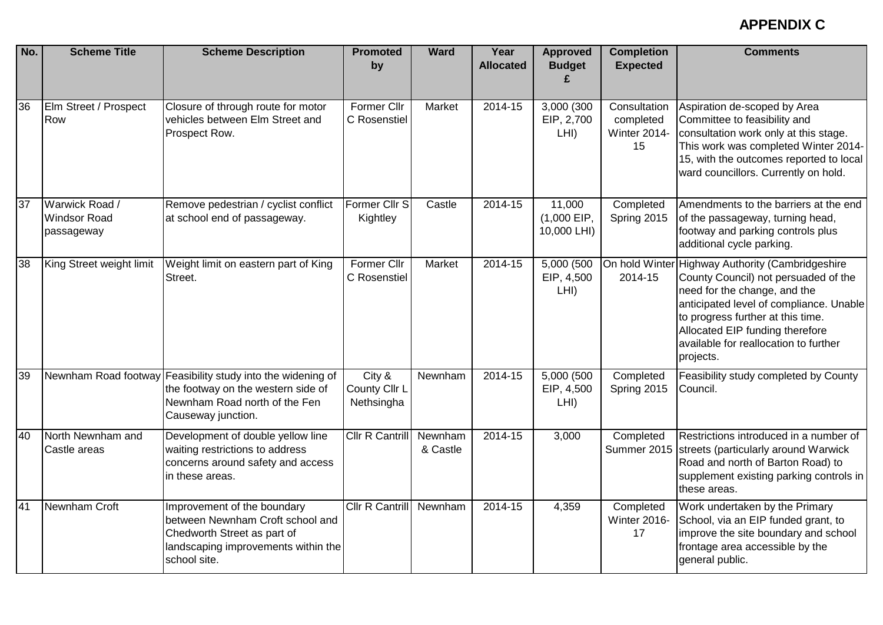| No. | <b>Scheme Title</b>                                 | <b>Scheme Description</b>                                                                                                                                | <b>Promoted</b><br>by                 | <b>Ward</b>         | Year<br><b>Allocated</b> | <b>Approved</b><br><b>Budget</b>       | <b>Completion</b><br><b>Expected</b>            | <b>Comments</b>                                                                                                                                                                                                                                                                    |
|-----|-----------------------------------------------------|----------------------------------------------------------------------------------------------------------------------------------------------------------|---------------------------------------|---------------------|--------------------------|----------------------------------------|-------------------------------------------------|------------------------------------------------------------------------------------------------------------------------------------------------------------------------------------------------------------------------------------------------------------------------------------|
| 36  | Elm Street / Prospect<br>Row                        | Closure of through route for motor<br>vehicles between Elm Street and<br>Prospect Row.                                                                   | Former Cllr<br>C Rosenstiel           | Market              | 2014-15                  | 3,000 (300<br>EIP, 2,700<br>LHI)       | Consultation<br>completed<br>Winter 2014-<br>15 | Aspiration de-scoped by Area<br>Committee to feasibility and<br>consultation work only at this stage.<br>This work was completed Winter 2014-<br>15, with the outcomes reported to local<br>ward councillors. Currently on hold.                                                   |
| 37  | Warwick Road /<br><b>Windsor Road</b><br>passageway | Remove pedestrian / cyclist conflict<br>at school end of passageway.                                                                                     | Former Cllr S<br>Kightley             | Castle              | 2014-15                  | 11,000<br>$(1,000$ EIP,<br>10,000 LHI) | Completed<br>Spring 2015                        | Amendments to the barriers at the end<br>of the passageway, turning head,<br>footway and parking controls plus<br>additional cycle parking.                                                                                                                                        |
| 38  | King Street weight limit                            | Weight limit on eastern part of King<br>Street.                                                                                                          | Former Cllr<br>C Rosenstiel           | Market              | 2014-15                  | 5,000 (500<br>EIP, 4,500<br>LHI)       | On hold Winter<br>2014-15                       | Highway Authority (Cambridgeshire<br>County Council) not persuaded of the<br>need for the change, and the<br>anticipated level of compliance. Unable<br>to progress further at this time.<br>Allocated EIP funding therefore<br>available for reallocation to further<br>projects. |
| 39  |                                                     | Newnham Road footway Feasibility study into the widening of<br>the footway on the western side of<br>Newnham Road north of the Fen<br>Causeway junction. | City &<br>County Cllr L<br>Nethsingha | Newnham             | 2014-15                  | 5,000 (500<br>EIP, 4,500<br>LHI)       | Completed<br>Spring 2015                        | Feasibility study completed by County<br>Council.                                                                                                                                                                                                                                  |
| 40  | North Newnham and<br>Castle areas                   | Development of double yellow line<br>waiting restrictions to address<br>concerns around safety and access<br>in these areas.                             | Cllr R Cantrill                       | Newnham<br>& Castle | 2014-15                  | 3,000                                  | Completed<br>Summer 2015                        | Restrictions introduced in a number of<br>streets (particularly around Warwick<br>Road and north of Barton Road) to<br>supplement existing parking controls in<br>these areas.                                                                                                     |
| 41  | Newnham Croft                                       | Improvement of the boundary<br>between Newnham Croft school and<br>Chedworth Street as part of<br>landscaping improvements within the<br>school site.    | Cllr R Cantrill                       | Newnham             | 2014-15                  | 4,359                                  | Completed<br>Winter 2016-<br>17                 | Work undertaken by the Primary<br>School, via an EIP funded grant, to<br>improve the site boundary and school<br>frontage area accessible by the<br>general public.                                                                                                                |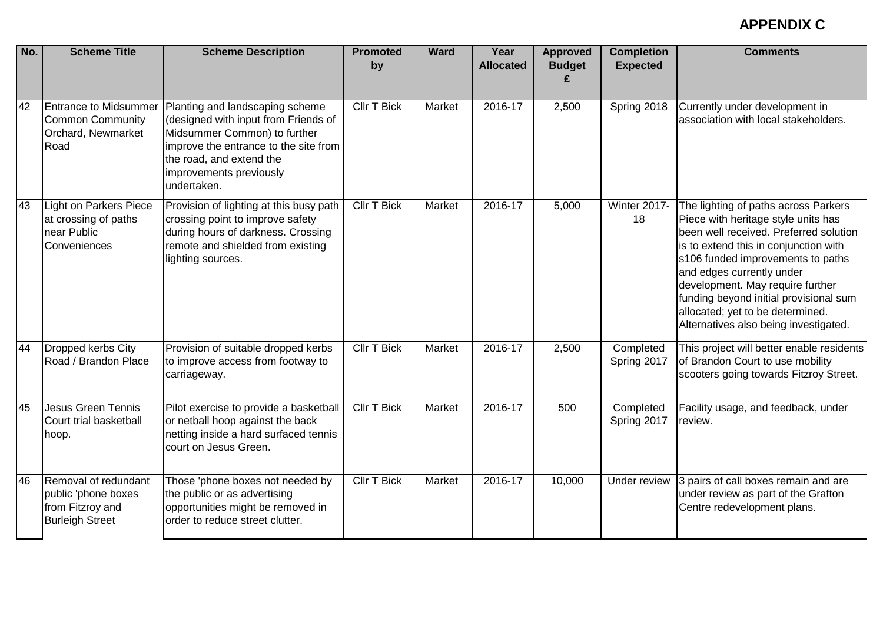| No. | <b>Scheme Title</b>                                                                       | <b>Scheme Description</b>                                                                                                                                                           | <b>Promoted</b><br>by | <b>Ward</b> | Year<br><b>Allocated</b> | <b>Approved</b><br><b>Budget</b> | <b>Completion</b><br><b>Expected</b> | <b>Comments</b>                                                                                                                                                                                                                                                                                                                                                                             |
|-----|-------------------------------------------------------------------------------------------|-------------------------------------------------------------------------------------------------------------------------------------------------------------------------------------|-----------------------|-------------|--------------------------|----------------------------------|--------------------------------------|---------------------------------------------------------------------------------------------------------------------------------------------------------------------------------------------------------------------------------------------------------------------------------------------------------------------------------------------------------------------------------------------|
| 42  | <b>Entrance to Midsummer</b>                                                              | Planting and landscaping scheme                                                                                                                                                     | <b>Cllr T Bick</b>    | Market      | 2016-17                  | 2,500                            | Spring 2018                          | Currently under development in                                                                                                                                                                                                                                                                                                                                                              |
|     | <b>Common Community</b><br>Orchard, Newmarket<br>Road                                     | (designed with input from Friends of<br>Midsummer Common) to further<br>improve the entrance to the site from<br>the road, and extend the<br>improvements previously<br>undertaken. |                       |             |                          |                                  |                                      | association with local stakeholders.                                                                                                                                                                                                                                                                                                                                                        |
| 43  | <b>Light on Parkers Piece</b><br>at crossing of paths<br>near Public<br>Conveniences      | Provision of lighting at this busy path<br>crossing point to improve safety<br>during hours of darkness. Crossing<br>remote and shielded from existing<br>lighting sources.         | <b>Cllr T Bick</b>    | Market      | 2016-17                  | 5,000                            | Winter 2017-<br>18                   | The lighting of paths across Parkers<br>Piece with heritage style units has<br>been well received. Preferred solution<br>is to extend this in conjunction with<br>s106 funded improvements to paths<br>and edges currently under<br>development. May require further<br>funding beyond initial provisional sum<br>allocated; yet to be determined.<br>Alternatives also being investigated. |
| 44  | Dropped kerbs City<br>Road / Brandon Place                                                | Provision of suitable dropped kerbs<br>to improve access from footway to<br>carriageway.                                                                                            | <b>Cllr T Bick</b>    | Market      | $2016 - 17$              | 2,500                            | Completed<br>Spring 2017             | This project will better enable residents<br>of Brandon Court to use mobility<br>scooters going towards Fitzroy Street.                                                                                                                                                                                                                                                                     |
| 45  | <b>Jesus Green Tennis</b><br>Court trial basketball<br>hoop.                              | Pilot exercise to provide a basketball<br>or netball hoop against the back<br>netting inside a hard surfaced tennis<br>court on Jesus Green.                                        | <b>CIIr T Bick</b>    | Market      | 2016-17                  | 500                              | Completed<br>Spring 2017             | Facility usage, and feedback, under<br>review.                                                                                                                                                                                                                                                                                                                                              |
| 46  | Removal of redundant<br>public 'phone boxes<br>from Fitzroy and<br><b>Burleigh Street</b> | Those 'phone boxes not needed by<br>the public or as advertising<br>opportunities might be removed in<br>order to reduce street clutter.                                            | <b>Cllr T Bick</b>    | Market      | 2016-17                  | 10,000                           | Under review                         | 3 pairs of call boxes remain and are<br>under review as part of the Grafton<br>Centre redevelopment plans.                                                                                                                                                                                                                                                                                  |